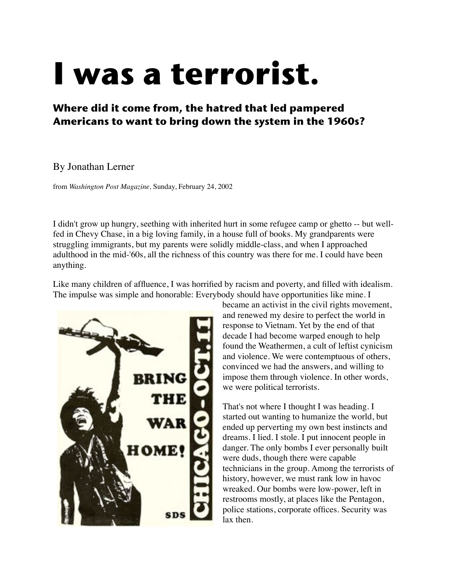## **I was a terrorist.**

## **Where did it come from, the hatred that led pampered Americans to want to bring down the system in the 1960s?**

By Jonathan Lerner

from *Washington Post Magazine,* Sunday, February 24, 2002

I didn't grow up hungry, seething with inherited hurt in some refugee camp or ghetto -- but wellfed in Chevy Chase, in a big loving family, in a house full of books. My grandparents were struggling immigrants, but my parents were solidly middle-class, and when I approached adulthood in the mid-'60s, all the richness of this country was there for me. I could have been anything.

Like many children of affluence, I was horrified by racism and poverty, and filled with idealism. The impulse was simple and honorable: Everybody should have opportunities like mine. I



became an activist in the civil rights movement, and renewed my desire to perfect the world in response to Vietnam. Yet by the end of that decade I had become warped enough to help found the Weathermen, a cult of leftist cynicism and violence. We were contemptuous of others, convinced we had the answers, and willing to impose them through violence. In other words, we were political terrorists.

That's not where I thought I was heading. I started out wanting to humanize the world, but ended up perverting my own best instincts and dreams. I lied. I stole. I put innocent people in danger. The only bombs I ever personally built were duds, though there were capable technicians in the group. Among the terrorists of history, however, we must rank low in havoc wreaked. Our bombs were low-power, left in restrooms mostly, at places like the Pentagon, police stations, corporate offices. Security was lax then.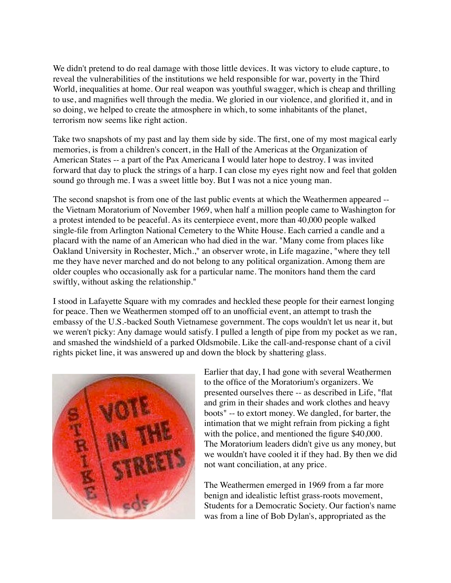We didn't pretend to do real damage with those little devices. It was victory to elude capture, to reveal the vulnerabilities of the institutions we held responsible for war, poverty in the Third World, inequalities at home. Our real weapon was youthful swagger, which is cheap and thrilling to use, and magnifies well through the media. We gloried in our violence, and glorified it, and in so doing, we helped to create the atmosphere in which, to some inhabitants of the planet, terrorism now seems like right action.

Take two snapshots of my past and lay them side by side. The first, one of my most magical early memories, is from a children's concert, in the Hall of the Americas at the Organization of American States -- a part of the Pax Americana I would later hope to destroy. I was invited forward that day to pluck the strings of a harp. I can close my eyes right now and feel that golden sound go through me. I was a sweet little boy. But I was not a nice young man.

The second snapshot is from one of the last public events at which the Weathermen appeared - the Vietnam Moratorium of November 1969, when half a million people came to Washington for a protest intended to be peaceful. As its centerpiece event, more than 40,000 people walked single-file from Arlington National Cemetery to the White House. Each carried a candle and a placard with the name of an American who had died in the war. "Many come from places like Oakland University in Rochester, Mich.," an observer wrote, in Life magazine, "where they tell me they have never marched and do not belong to any political organization. Among them are older couples who occasionally ask for a particular name. The monitors hand them the card swiftly, without asking the relationship."

I stood in Lafayette Square with my comrades and heckled these people for their earnest longing for peace. Then we Weathermen stomped off to an unofficial event, an attempt to trash the embassy of the U.S.-backed South Vietnamese government. The cops wouldn't let us near it, but we weren't picky: Any damage would satisfy. I pulled a length of pipe from my pocket as we ran, and smashed the windshield of a parked Oldsmobile. Like the call-and-response chant of a civil rights picket line, it was answered up and down the block by shattering glass.



Earlier that day, I had gone with several Weathermen to the office of the Moratorium's organizers. We presented ourselves there -- as described in Life, "flat and grim in their shades and work clothes and heavy boots" -- to extort money. We dangled, for barter, the intimation that we might refrain from picking a fight with the police, and mentioned the figure \$40,000. The Moratorium leaders didn't give us any money, but we wouldn't have cooled it if they had. By then we did not want conciliation, at any price.

The Weathermen emerged in 1969 from a far more benign and idealistic leftist grass-roots movement, Students for a Democratic Society. Our faction's name was from a line of Bob Dylan's, appropriated as the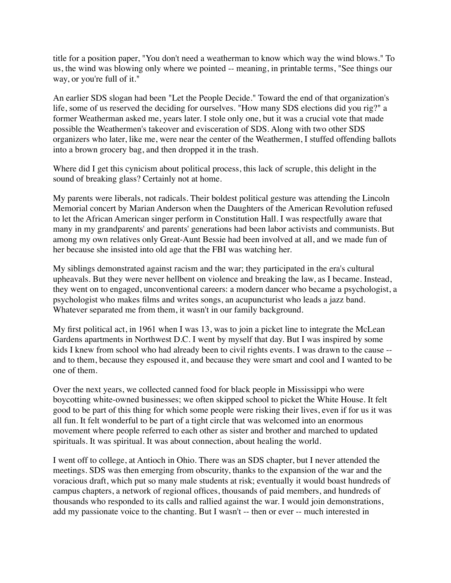title for a position paper, "You don't need a weatherman to know which way the wind blows." To us, the wind was blowing only where we pointed -- meaning, in printable terms, "See things our way, or you're full of it."

An earlier SDS slogan had been "Let the People Decide." Toward the end of that organization's life, some of us reserved the deciding for ourselves. "How many SDS elections did you rig?" a former Weatherman asked me, years later. I stole only one, but it was a crucial vote that made possible the Weathermen's takeover and evisceration of SDS. Along with two other SDS organizers who later, like me, were near the center of the Weathermen, I stuffed offending ballots into a brown grocery bag, and then dropped it in the trash.

Where did I get this cynicism about political process, this lack of scruple, this delight in the sound of breaking glass? Certainly not at home.

My parents were liberals, not radicals. Their boldest political gesture was attending the Lincoln Memorial concert by Marian Anderson when the Daughters of the American Revolution refused to let the African American singer perform in Constitution Hall. I was respectfully aware that many in my grandparents' and parents' generations had been labor activists and communists. But among my own relatives only Great-Aunt Bessie had been involved at all, and we made fun of her because she insisted into old age that the FBI was watching her.

My siblings demonstrated against racism and the war; they participated in the era's cultural upheavals. But they were never hellbent on violence and breaking the law, as I became. Instead, they went on to engaged, unconventional careers: a modern dancer who became a psychologist, a psychologist who makes films and writes songs, an acupuncturist who leads a jazz band. Whatever separated me from them, it wasn't in our family background.

My first political act, in 1961 when I was 13, was to join a picket line to integrate the McLean Gardens apartments in Northwest D.C. I went by myself that day. But I was inspired by some kids I knew from school who had already been to civil rights events. I was drawn to the cause - and to them, because they espoused it, and because they were smart and cool and I wanted to be one of them.

Over the next years, we collected canned food for black people in Mississippi who were boycotting white-owned businesses; we often skipped school to picket the White House. It felt good to be part of this thing for which some people were risking their lives, even if for us it was all fun. It felt wonderful to be part of a tight circle that was welcomed into an enormous movement where people referred to each other as sister and brother and marched to updated spirituals. It was spiritual. It was about connection, about healing the world.

I went off to college, at Antioch in Ohio. There was an SDS chapter, but I never attended the meetings. SDS was then emerging from obscurity, thanks to the expansion of the war and the voracious draft, which put so many male students at risk; eventually it would boast hundreds of campus chapters, a network of regional offices, thousands of paid members, and hundreds of thousands who responded to its calls and rallied against the war. I would join demonstrations, add my passionate voice to the chanting. But I wasn't -- then or ever -- much interested in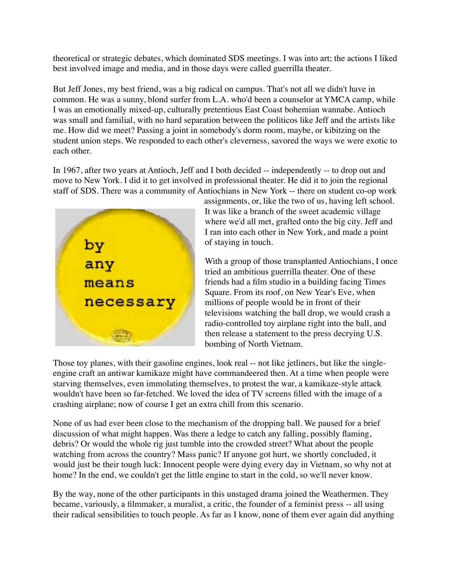theoretical or strategic debates, which dominated SDS meetings. I was into art; the actions I liked best involved image and media, and in those days were called guerrilla theater.

But Jeff Jones, my best friend, was a big radical on campus. That's not all we didn't have in common. He was a sunny, blond surfer from L.A. who'd been a counselor at YMCA camp, while I was an emotionally mixed-up, culturally pretentious East Coast bohemian wannabe. Antioch was small and familial, with no hard separation between the politicos like Jeff and the artists like me. How did we meet? Passing a joint in somebody's dorm room, maybe, or kibitzing on the student union steps. We responded to each other's cleverness, savored the ways we were exotic to each other.

In 1967, after two years at Antioch, Jeff and I both decided -- independently -- to drop out and move to New York. I did it to get involved in professional theater. He did it to join the regional staff of SDS. There was a community of Antiochians in New York -- there on student co-op work



assignments, or, like the two of us, having left school. It was like a branch of the sweet academic village where we'd all met, grafted onto the big city. Jeff and I ran into each other in New York, and made a point of staying in touch.

With a group of those transplanted Antiochians, I once tried an ambitious guerrilla theater. One of these friends had a film studio in a building facing Times Square. From its roof, on New Year's Eve, when millions of people would be in front of their televisions watching the ball drop, we would crash a radio-controlled toy airplane right into the ball, and then release a statement to the press decrying U.S. bombing of North Vietnam.

Those toy planes, with their gasoline engines, look real -- not like jetliners, but like the singleengine craft an antiwar kamikaze might have commandeered then. At a time when people were starving themselves, even immolating themselves, to protest the war, a kamikaze-style attack wouldn't have been so far-fetched. We loved the idea of TV screens filled with the image of a crashing airplane; now of course I get an extra chill from this scenario.

None of us had ever been close to the mechanism of the dropping ball. We paused for a brief discussion of what might happen. Was there a ledge to catch any falling, possibly flaming, debris? Or would the whole rig just tumble into the crowded street? What about the people watching from across the country? Mass panic? If anyone got hurt, we shortly concluded, it would just be their tough luck: Innocent people were dying every day in Vietnam, so why not at home? In the end, we couldn't get the little engine to start in the cold, so we'll never know.

By the way, none of the other participants in this unstaged drama joined the Weathermen. They became, variously, a filmmaker, a muralist, a critic, the founder of a feminist press -- all using their radical sensibilities to touch people. As far as I know, none of them ever again did anything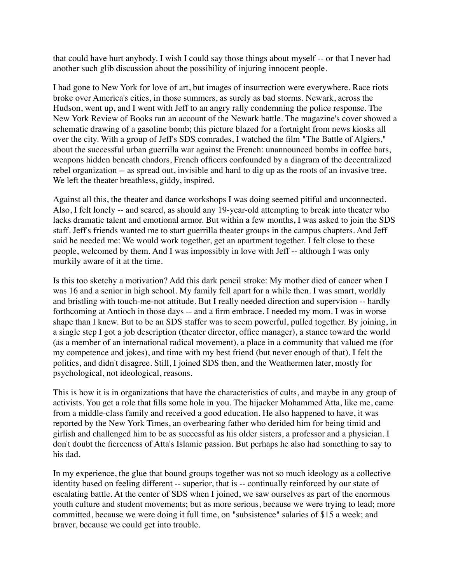that could have hurt anybody. I wish I could say those things about myself -- or that I never had another such glib discussion about the possibility of injuring innocent people.

I had gone to New York for love of art, but images of insurrection were everywhere. Race riots broke over America's cities, in those summers, as surely as bad storms. Newark, across the Hudson, went up, and I went with Jeff to an angry rally condemning the police response. The New York Review of Books ran an account of the Newark battle. The magazine's cover showed a schematic drawing of a gasoline bomb; this picture blazed for a fortnight from news kiosks all over the city. With a group of Jeff's SDS comrades, I watched the film "The Battle of Algiers," about the successful urban guerrilla war against the French: unannounced bombs in coffee bars, weapons hidden beneath chadors, French officers confounded by a diagram of the decentralized rebel organization -- as spread out, invisible and hard to dig up as the roots of an invasive tree. We left the theater breathless, giddy, inspired.

Against all this, the theater and dance workshops I was doing seemed pitiful and unconnected. Also, I felt lonely -- and scared, as should any 19-year-old attempting to break into theater who lacks dramatic talent and emotional armor. But within a few months, I was asked to join the SDS staff. Jeff's friends wanted me to start guerrilla theater groups in the campus chapters. And Jeff said he needed me: We would work together, get an apartment together. I felt close to these people, welcomed by them. And I was impossibly in love with Jeff -- although I was only murkily aware of it at the time.

Is this too sketchy a motivation? Add this dark pencil stroke: My mother died of cancer when I was 16 and a senior in high school. My family fell apart for a while then. I was smart, worldly and bristling with touch-me-not attitude. But I really needed direction and supervision -- hardly forthcoming at Antioch in those days -- and a firm embrace. I needed my mom. I was in worse shape than I knew. But to be an SDS staffer was to seem powerful, pulled together. By joining, in a single step I got a job description (theater director, office manager), a stance toward the world (as a member of an international radical movement), a place in a community that valued me (for my competence and jokes), and time with my best friend (but never enough of that). I felt the politics, and didn't disagree. Still, I joined SDS then, and the Weathermen later, mostly for psychological, not ideological, reasons.

This is how it is in organizations that have the characteristics of cults, and maybe in any group of activists. You get a role that fills some hole in you. The hijacker Mohammed Atta, like me, came from a middle-class family and received a good education. He also happened to have, it was reported by the New York Times, an overbearing father who derided him for being timid and girlish and challenged him to be as successful as his older sisters, a professor and a physician. I don't doubt the fierceness of Atta's Islamic passion. But perhaps he also had something to say to his dad.

In my experience, the glue that bound groups together was not so much ideology as a collective identity based on feeling different -- superior, that is -- continually reinforced by our state of escalating battle. At the center of SDS when I joined, we saw ourselves as part of the enormous youth culture and student movements; but as more serious, because we were trying to lead; more committed, because we were doing it full time, on "subsistence" salaries of \$15 a week; and braver, because we could get into trouble.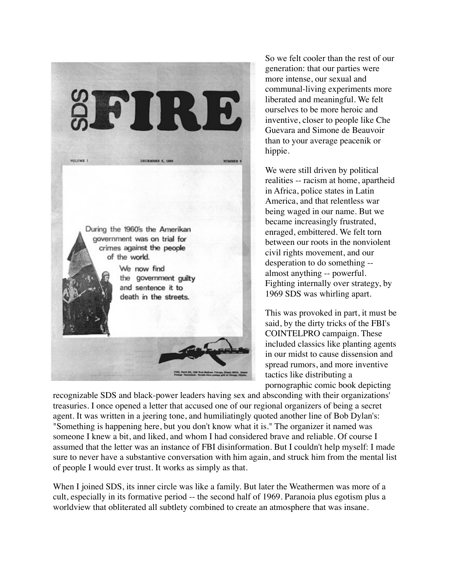

So we felt cooler than the rest of our generation: that our parties were more intense, our sexual and communal-living experiments more liberated and meaningful. We felt ourselves to be more heroic and inventive, closer to people like Che Guevara and Simone de Beauvoir than to your average peacenik or hippie.

We were still driven by political realities -- racism at home, apartheid in Africa, police states in Latin America, and that relentless war being waged in our name. But we became increasingly frustrated, enraged, embittered. We felt torn between our roots in the nonviolent civil rights movement, and our desperation to do something - almost anything -- powerful. Fighting internally over strategy, by 1969 SDS was whirling apart.

This was provoked in part, it must be said, by the dirty tricks of the FBI's COINTELPRO campaign. These included classics like planting agents in our midst to cause dissension and spread rumors, and more inventive tactics like distributing a pornographic comic book depicting

recognizable SDS and black-power leaders having sex and absconding with their organizations' treasuries. I once opened a letter that accused one of our regional organizers of being a secret agent. It was written in a jeering tone, and humiliatingly quoted another line of Bob Dylan's: "Something is happening here, but you don't know what it is." The organizer it named was someone I knew a bit, and liked, and whom I had considered brave and reliable. Of course I assumed that the letter was an instance of FBI disinformation. But I couldn't help myself: I made sure to never have a substantive conversation with him again, and struck him from the mental list of people I would ever trust. It works as simply as that.

When I joined SDS, its inner circle was like a family. But later the Weathermen was more of a cult, especially in its formative period -- the second half of 1969. Paranoia plus egotism plus a worldview that obliterated all subtlety combined to create an atmosphere that was insane.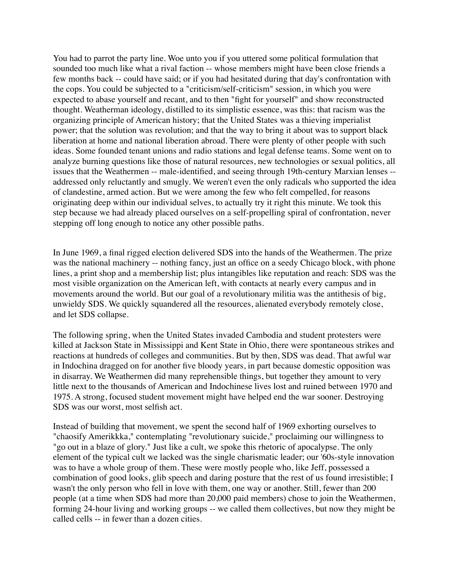You had to parrot the party line. Woe unto you if you uttered some political formulation that sounded too much like what a rival faction -- whose members might have been close friends a few months back -- could have said; or if you had hesitated during that day's confrontation with the cops. You could be subjected to a "criticism/self-criticism" session, in which you were expected to abase yourself and recant, and to then "fight for yourself" and show reconstructed thought. Weatherman ideology, distilled to its simplistic essence, was this: that racism was the organizing principle of American history; that the United States was a thieving imperialist power; that the solution was revolution; and that the way to bring it about was to support black liberation at home and national liberation abroad. There were plenty of other people with such ideas. Some founded tenant unions and radio stations and legal defense teams. Some went on to analyze burning questions like those of natural resources, new technologies or sexual politics, all issues that the Weathermen -- male-identified, and seeing through 19th-century Marxian lenses - addressed only reluctantly and smugly. We weren't even the only radicals who supported the idea of clandestine, armed action. But we were among the few who felt compelled, for reasons originating deep within our individual selves, to actually try it right this minute. We took this step because we had already placed ourselves on a self-propelling spiral of confrontation, never stepping off long enough to notice any other possible paths.

In June 1969, a final rigged election delivered SDS into the hands of the Weathermen. The prize was the national machinery -- nothing fancy, just an office on a seedy Chicago block, with phone lines, a print shop and a membership list; plus intangibles like reputation and reach: SDS was the most visible organization on the American left, with contacts at nearly every campus and in movements around the world. But our goal of a revolutionary militia was the antithesis of big, unwieldy SDS. We quickly squandered all the resources, alienated everybody remotely close, and let SDS collapse.

The following spring, when the United States invaded Cambodia and student protesters were killed at Jackson State in Mississippi and Kent State in Ohio, there were spontaneous strikes and reactions at hundreds of colleges and communities. But by then, SDS was dead. That awful war in Indochina dragged on for another five bloody years, in part because domestic opposition was in disarray. We Weathermen did many reprehensible things, but together they amount to very little next to the thousands of American and Indochinese lives lost and ruined between 1970 and 1975. A strong, focused student movement might have helped end the war sooner. Destroying SDS was our worst, most selfish act.

Instead of building that movement, we spent the second half of 1969 exhorting ourselves to "chaosify Amerikkka," contemplating "revolutionary suicide," proclaiming our willingness to "go out in a blaze of glory." Just like a cult, we spoke this rhetoric of apocalypse. The only element of the typical cult we lacked was the single charismatic leader; our '60s-style innovation was to have a whole group of them. These were mostly people who, like Jeff, possessed a combination of good looks, glib speech and daring posture that the rest of us found irresistible; I wasn't the only person who fell in love with them, one way or another. Still, fewer than 200 people (at a time when SDS had more than 20,000 paid members) chose to join the Weathermen, forming 24-hour living and working groups -- we called them collectives, but now they might be called cells -- in fewer than a dozen cities.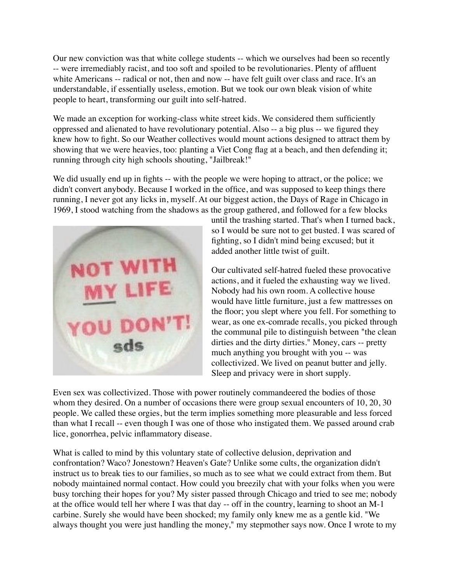Our new conviction was that white college students -- which we ourselves had been so recently -- were irremediably racist, and too soft and spoiled to be revolutionaries. Plenty of affluent white Americans -- radical or not, then and now -- have felt guilt over class and race. It's an understandable, if essentially useless, emotion. But we took our own bleak vision of white people to heart, transforming our guilt into self-hatred.

We made an exception for working-class white street kids. We considered them sufficiently oppressed and alienated to have revolutionary potential. Also -- a big plus -- we figured they knew how to fight. So our Weather collectives would mount actions designed to attract them by showing that we were heavies, too: planting a Viet Cong flag at a beach, and then defending it; running through city high schools shouting, "Jailbreak!"

We did usually end up in fights -- with the people we were hoping to attract, or the police; we didn't convert anybody. Because I worked in the office, and was supposed to keep things there running, I never got any licks in, myself. At our biggest action, the Days of Rage in Chicago in 1969, I stood watching from the shadows as the group gathered, and followed for a few blocks



until the trashing started. That's when I turned back, so I would be sure not to get busted. I was scared of fighting, so I didn't mind being excused; but it added another little twist of guilt.

Our cultivated self-hatred fueled these provocative actions, and it fueled the exhausting way we lived. Nobody had his own room. A collective house would have little furniture, just a few mattresses on the floor; you slept where you fell. For something to wear, as one ex-comrade recalls, you picked through the communal pile to distinguish between "the clean dirties and the dirty dirties." Money, cars -- pretty much anything you brought with you -- was collectivized. We lived on peanut butter and jelly. Sleep and privacy were in short supply.

Even sex was collectivized. Those with power routinely commandeered the bodies of those whom they desired. On a number of occasions there were group sexual encounters of 10, 20, 30 people. We called these orgies, but the term implies something more pleasurable and less forced than what I recall -- even though I was one of those who instigated them. We passed around crab lice, gonorrhea, pelvic inflammatory disease.

What is called to mind by this voluntary state of collective delusion, deprivation and confrontation? Waco? Jonestown? Heaven's Gate? Unlike some cults, the organization didn't instruct us to break ties to our families, so much as to see what we could extract from them. But nobody maintained normal contact. How could you breezily chat with your folks when you were busy torching their hopes for you? My sister passed through Chicago and tried to see me; nobody at the office would tell her where I was that day -- off in the country, learning to shoot an M-1 carbine. Surely she would have been shocked; my family only knew me as a gentle kid. "We always thought you were just handling the money," my stepmother says now. Once I wrote to my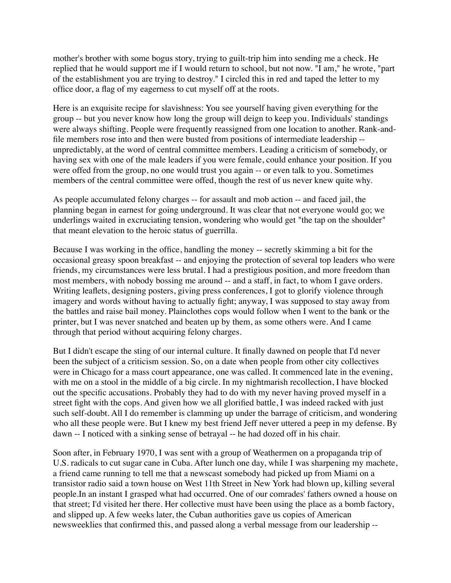mother's brother with some bogus story, trying to guilt-trip him into sending me a check. He replied that he would support me if I would return to school, but not now. "I am," he wrote, "part of the establishment you are trying to destroy." I circled this in red and taped the letter to my office door, a flag of my eagerness to cut myself off at the roots.

Here is an exquisite recipe for slavishness: You see yourself having given everything for the group -- but you never know how long the group will deign to keep you. Individuals' standings were always shifting. People were frequently reassigned from one location to another. Rank-andfile members rose into and then were busted from positions of intermediate leadership - unpredictably, at the word of central committee members. Leading a criticism of somebody, or having sex with one of the male leaders if you were female, could enhance your position. If you were offed from the group, no one would trust you again -- or even talk to you. Sometimes members of the central committee were offed, though the rest of us never knew quite why.

As people accumulated felony charges -- for assault and mob action -- and faced jail, the planning began in earnest for going underground. It was clear that not everyone would go; we underlings waited in excruciating tension, wondering who would get "the tap on the shoulder" that meant elevation to the heroic status of guerrilla.

Because I was working in the office, handling the money -- secretly skimming a bit for the occasional greasy spoon breakfast -- and enjoying the protection of several top leaders who were friends, my circumstances were less brutal. I had a prestigious position, and more freedom than most members, with nobody bossing me around -- and a staff, in fact, to whom I gave orders. Writing leaflets, designing posters, giving press conferences, I got to glorify violence through imagery and words without having to actually fight; anyway, I was supposed to stay away from the battles and raise bail money. Plainclothes cops would follow when I went to the bank or the printer, but I was never snatched and beaten up by them, as some others were. And I came through that period without acquiring felony charges.

But I didn't escape the sting of our internal culture. It finally dawned on people that I'd never been the subject of a criticism session. So, on a date when people from other city collectives were in Chicago for a mass court appearance, one was called. It commenced late in the evening, with me on a stool in the middle of a big circle. In my nightmarish recollection, I have blocked out the specific accusations. Probably they had to do with my never having proved myself in a street fight with the cops. And given how we all glorified battle, I was indeed racked with just such self-doubt. All I do remember is clamming up under the barrage of criticism, and wondering who all these people were. But I knew my best friend Jeff never uttered a peep in my defense. By dawn -- I noticed with a sinking sense of betrayal -- he had dozed off in his chair.

Soon after, in February 1970, I was sent with a group of Weathermen on a propaganda trip of U.S. radicals to cut sugar cane in Cuba. After lunch one day, while I was sharpening my machete, a friend came running to tell me that a newscast somebody had picked up from Miami on a transistor radio said a town house on West 11th Street in New York had blown up, killing several people.In an instant I grasped what had occurred. One of our comrades' fathers owned a house on that street; I'd visited her there. Her collective must have been using the place as a bomb factory, and slipped up. A few weeks later, the Cuban authorities gave us copies of American newsweeklies that confirmed this, and passed along a verbal message from our leadership --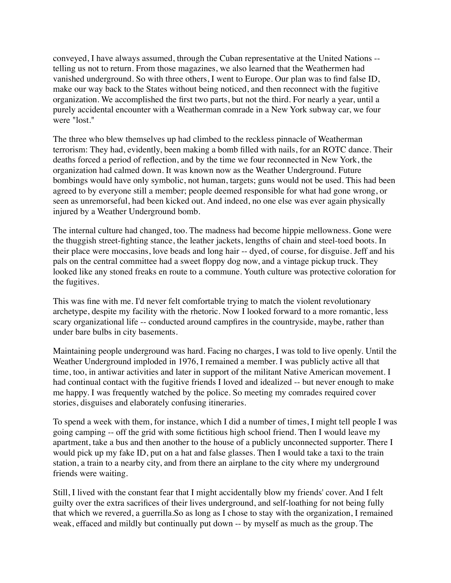conveyed, I have always assumed, through the Cuban representative at the United Nations - telling us not to return. From those magazines, we also learned that the Weathermen had vanished underground. So with three others, I went to Europe. Our plan was to find false ID, make our way back to the States without being noticed, and then reconnect with the fugitive organization. We accomplished the first two parts, but not the third. For nearly a year, until a purely accidental encounter with a Weatherman comrade in a New York subway car, we four were "lost."

The three who blew themselves up had climbed to the reckless pinnacle of Weatherman terrorism: They had, evidently, been making a bomb filled with nails, for an ROTC dance. Their deaths forced a period of reflection, and by the time we four reconnected in New York, the organization had calmed down. It was known now as the Weather Underground. Future bombings would have only symbolic, not human, targets; guns would not be used. This had been agreed to by everyone still a member; people deemed responsible for what had gone wrong, or seen as unremorseful, had been kicked out. And indeed, no one else was ever again physically injured by a Weather Underground bomb.

The internal culture had changed, too. The madness had become hippie mellowness. Gone were the thuggish street-fighting stance, the leather jackets, lengths of chain and steel-toed boots. In their place were moccasins, love beads and long hair -- dyed, of course, for disguise. Jeff and his pals on the central committee had a sweet floppy dog now, and a vintage pickup truck. They looked like any stoned freaks en route to a commune. Youth culture was protective coloration for the fugitives.

This was fine with me. I'd never felt comfortable trying to match the violent revolutionary archetype, despite my facility with the rhetoric. Now I looked forward to a more romantic, less scary organizational life -- conducted around campfires in the countryside, maybe, rather than under bare bulbs in city basements.

Maintaining people underground was hard. Facing no charges, I was told to live openly. Until the Weather Underground imploded in 1976, I remained a member. I was publicly active all that time, too, in antiwar activities and later in support of the militant Native American movement. I had continual contact with the fugitive friends I loved and idealized -- but never enough to make me happy. I was frequently watched by the police. So meeting my comrades required cover stories, disguises and elaborately confusing itineraries.

To spend a week with them, for instance, which I did a number of times, I might tell people I was going camping -- off the grid with some fictitious high school friend. Then I would leave my apartment, take a bus and then another to the house of a publicly unconnected supporter. There I would pick up my fake ID, put on a hat and false glasses. Then I would take a taxi to the train station, a train to a nearby city, and from there an airplane to the city where my underground friends were waiting.

Still, I lived with the constant fear that I might accidentally blow my friends' cover. And I felt guilty over the extra sacrifices of their lives underground, and self-loathing for not being fully that which we revered, a guerrilla.So as long as I chose to stay with the organization, I remained weak, effaced and mildly but continually put down -- by myself as much as the group. The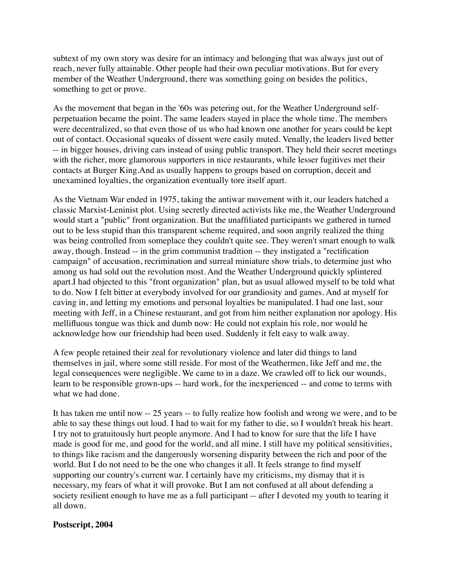subtext of my own story was desire for an intimacy and belonging that was always just out of reach, never fully attainable. Other people had their own peculiar motivations. But for every member of the Weather Underground, there was something going on besides the politics, something to get or prove.

As the movement that began in the '60s was petering out, for the Weather Underground selfperpetuation became the point. The same leaders stayed in place the whole time. The members were decentralized, so that even those of us who had known one another for years could be kept out of contact. Occasional squeaks of dissent were easily muted. Venally, the leaders lived better -- in bigger houses, driving cars instead of using public transport. They held their secret meetings with the richer, more glamorous supporters in nice restaurants, while lesser fugitives met their contacts at Burger King.And as usually happens to groups based on corruption, deceit and unexamined loyalties, the organization eventually tore itself apart.

As the Vietnam War ended in 1975, taking the antiwar movement with it, our leaders hatched a classic Marxist-Leninist plot. Using secretly directed activists like me, the Weather Underground would start a "public" front organization. But the unaffiliated participants we gathered in turned out to be less stupid than this transparent scheme required, and soon angrily realized the thing was being controlled from someplace they couldn't quite see. They weren't smart enough to walk away, though. Instead -- in the grim communist tradition -- they instigated a "rectification campaign" of accusation, recrimination and surreal miniature show trials, to determine just who among us had sold out the revolution most. And the Weather Underground quickly splintered apart.I had objected to this "front organization" plan, but as usual allowed myself to be told what to do. Now I felt bitter at everybody involved for our grandiosity and games. And at myself for caving in, and letting my emotions and personal loyalties be manipulated. I had one last, sour meeting with Jeff, in a Chinese restaurant, and got from him neither explanation nor apology. His mellifluous tongue was thick and dumb now: He could not explain his role, nor would he acknowledge how our friendship had been used. Suddenly it felt easy to walk away.

A few people retained their zeal for revolutionary violence and later did things to land themselves in jail, where some still reside. For most of the Weathermen, like Jeff and me, the legal consequences were negligible. We came to in a daze. We crawled off to lick our wounds, learn to be responsible grown-ups -- hard work, for the inexperienced -- and come to terms with what we had done.

It has taken me until now -- 25 years -- to fully realize how foolish and wrong we were, and to be able to say these things out loud. I had to wait for my father to die, so I wouldn't break his heart. I try not to gratuitously hurt people anymore. And I had to know for sure that the life I have made is good for me, and good for the world, and all mine. I still have my political sensitivities, to things like racism and the dangerously worsening disparity between the rich and poor of the world. But I do not need to be the one who changes it all. It feels strange to find myself supporting our country's current war. I certainly have my criticisms, my dismay that it is necessary, my fears of what it will provoke. But I am not confused at all about defending a society resilient enough to have me as a full participant -- after I devoted my youth to tearing it all down.

## **Postscript, 2004**